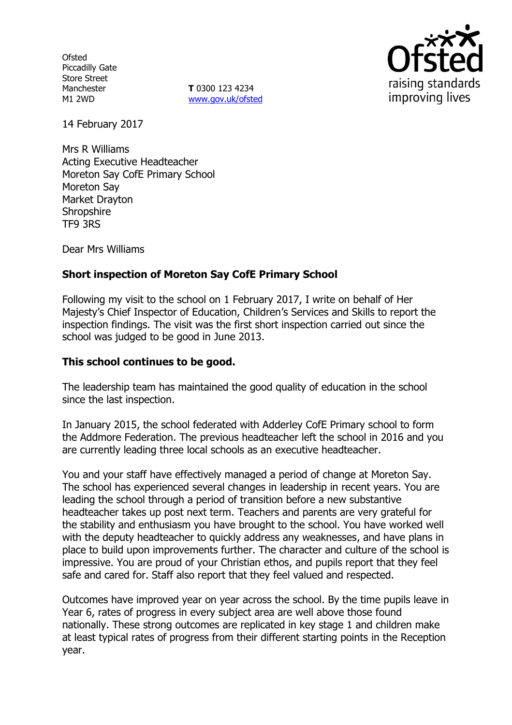**Ofsted** Piccadilly Gate Store Street Manchester M1 2WD

**T** 0300 123 4234 www.gov.uk/ofsted



14 February 2017

Mrs R Williams Acting Executive Headteacher Moreton Say CofE Primary School Moreton Say Market Drayton **Shropshire** TF9 3RS

Dear Mrs Williams

# **Short inspection of Moreton Say CofE Primary School**

Following my visit to the school on 1 February 2017, I write on behalf of Her Majesty's Chief Inspector of Education, Children's Services and Skills to report the inspection findings. The visit was the first short inspection carried out since the school was judged to be good in June 2013.

### **This school continues to be good.**

The leadership team has maintained the good quality of education in the school since the last inspection.

In January 2015, the school federated with Adderley CofE Primary school to form the Addmore Federation. The previous headteacher left the school in 2016 and you are currently leading three local schools as an executive headteacher.

You and your staff have effectively managed a period of change at Moreton Say. The school has experienced several changes in leadership in recent years. You are leading the school through a period of transition before a new substantive headteacher takes up post next term. Teachers and parents are very grateful for the stability and enthusiasm you have brought to the school. You have worked well with the deputy headteacher to quickly address any weaknesses, and have plans in place to build upon improvements further. The character and culture of the school is impressive. You are proud of your Christian ethos, and pupils report that they feel safe and cared for. Staff also report that they feel valued and respected.

Outcomes have improved year on year across the school. By the time pupils leave in Year 6, rates of progress in every subject area are well above those found nationally. These strong outcomes are replicated in key stage 1 and children make at least typical rates of progress from their different starting points in the Reception year.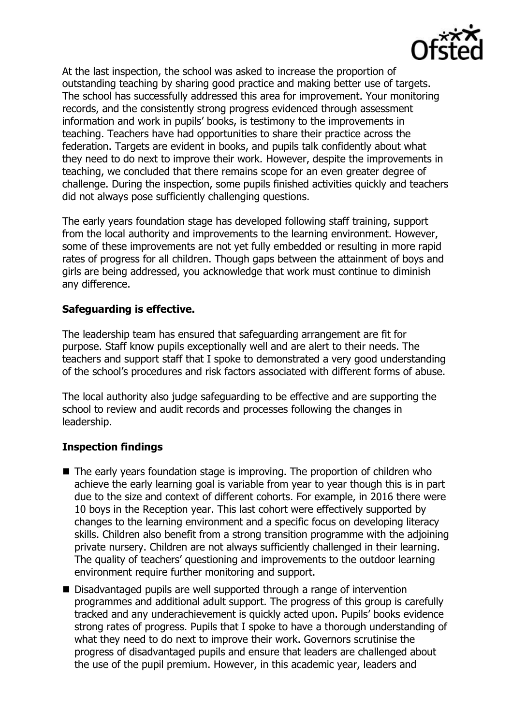

At the last inspection, the school was asked to increase the proportion of outstanding teaching by sharing good practice and making better use of targets. The school has successfully addressed this area for improvement. Your monitoring records, and the consistently strong progress evidenced through assessment information and work in pupils' books, is testimony to the improvements in teaching. Teachers have had opportunities to share their practice across the federation. Targets are evident in books, and pupils talk confidently about what they need to do next to improve their work. However, despite the improvements in teaching, we concluded that there remains scope for an even greater degree of challenge. During the inspection, some pupils finished activities quickly and teachers did not always pose sufficiently challenging questions.

The early years foundation stage has developed following staff training, support from the local authority and improvements to the learning environment. However, some of these improvements are not yet fully embedded or resulting in more rapid rates of progress for all children. Though gaps between the attainment of boys and girls are being addressed, you acknowledge that work must continue to diminish any difference.

# **Safeguarding is effective.**

The leadership team has ensured that safeguarding arrangement are fit for purpose. Staff know pupils exceptionally well and are alert to their needs. The teachers and support staff that I spoke to demonstrated a very good understanding of the school's procedures and risk factors associated with different forms of abuse.

The local authority also judge safeguarding to be effective and are supporting the school to review and audit records and processes following the changes in leadership.

# **Inspection findings**

- The early years foundation stage is improving. The proportion of children who achieve the early learning goal is variable from year to year though this is in part due to the size and context of different cohorts. For example, in 2016 there were 10 boys in the Reception year. This last cohort were effectively supported by changes to the learning environment and a specific focus on developing literacy skills. Children also benefit from a strong transition programme with the adjoining private nursery. Children are not always sufficiently challenged in their learning. The quality of teachers' questioning and improvements to the outdoor learning environment require further monitoring and support.
- Disadvantaged pupils are well supported through a range of intervention programmes and additional adult support. The progress of this group is carefully tracked and any underachievement is quickly acted upon. Pupils' books evidence strong rates of progress. Pupils that I spoke to have a thorough understanding of what they need to do next to improve their work. Governors scrutinise the progress of disadvantaged pupils and ensure that leaders are challenged about the use of the pupil premium. However, in this academic year, leaders and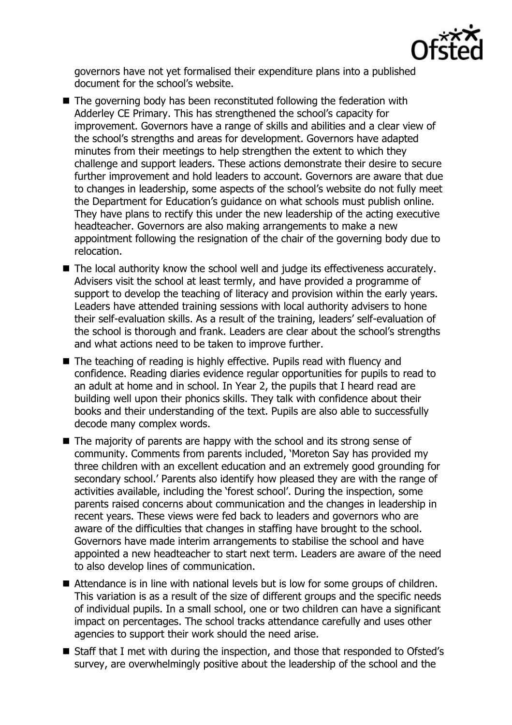

governors have not yet formalised their expenditure plans into a published document for the school's website.

- The governing body has been reconstituted following the federation with Adderley CE Primary. This has strengthened the school's capacity for improvement. Governors have a range of skills and abilities and a clear view of the school's strengths and areas for development. Governors have adapted minutes from their meetings to help strengthen the extent to which they challenge and support leaders. These actions demonstrate their desire to secure further improvement and hold leaders to account. Governors are aware that due to changes in leadership, some aspects of the school's website do not fully meet the Department for Education's guidance on what schools must publish online. They have plans to rectify this under the new leadership of the acting executive headteacher. Governors are also making arrangements to make a new appointment following the resignation of the chair of the governing body due to relocation.
- The local authority know the school well and judge its effectiveness accurately. Advisers visit the school at least termly, and have provided a programme of support to develop the teaching of literacy and provision within the early years. Leaders have attended training sessions with local authority advisers to hone their self-evaluation skills. As a result of the training, leaders' self-evaluation of the school is thorough and frank. Leaders are clear about the school's strengths and what actions need to be taken to improve further.
- The teaching of reading is highly effective. Pupils read with fluency and confidence. Reading diaries evidence regular opportunities for pupils to read to an adult at home and in school. In Year 2, the pupils that I heard read are building well upon their phonics skills. They talk with confidence about their books and their understanding of the text. Pupils are also able to successfully decode many complex words.
- The majority of parents are happy with the school and its strong sense of community. Comments from parents included, 'Moreton Say has provided my three children with an excellent education and an extremely good grounding for secondary school.' Parents also identify how pleased they are with the range of activities available, including the 'forest school'. During the inspection, some parents raised concerns about communication and the changes in leadership in recent years. These views were fed back to leaders and governors who are aware of the difficulties that changes in staffing have brought to the school. Governors have made interim arrangements to stabilise the school and have appointed a new headteacher to start next term. Leaders are aware of the need to also develop lines of communication.
- Attendance is in line with national levels but is low for some groups of children. This variation is as a result of the size of different groups and the specific needs of individual pupils. In a small school, one or two children can have a significant impact on percentages. The school tracks attendance carefully and uses other agencies to support their work should the need arise.
- Staff that I met with during the inspection, and those that responded to Ofsted's survey, are overwhelmingly positive about the leadership of the school and the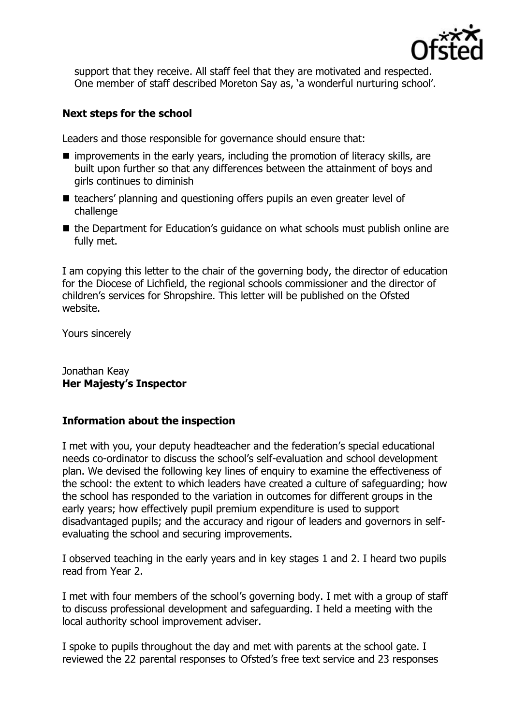

support that they receive. All staff feel that they are motivated and respected. One member of staff described Moreton Say as, 'a wonderful nurturing school'.

## **Next steps for the school**

Leaders and those responsible for governance should ensure that:

- $\blacksquare$  improvements in the early years, including the promotion of literacy skills, are built upon further so that any differences between the attainment of boys and girls continues to diminish
- teachers' planning and questioning offers pupils an even greater level of challenge
- the Department for Education's guidance on what schools must publish online are fully met.

I am copying this letter to the chair of the governing body, the director of education for the Diocese of Lichfield, the regional schools commissioner and the director of children's services for Shropshire. This letter will be published on the Ofsted website.

Yours sincerely

#### Jonathan Keay **Her Majesty's Inspector**

## **Information about the inspection**

I met with you, your deputy headteacher and the federation's special educational needs co-ordinator to discuss the school's self-evaluation and school development plan. We devised the following key lines of enquiry to examine the effectiveness of the school: the extent to which leaders have created a culture of safeguarding; how the school has responded to the variation in outcomes for different groups in the early years; how effectively pupil premium expenditure is used to support disadvantaged pupils; and the accuracy and rigour of leaders and governors in selfevaluating the school and securing improvements.

I observed teaching in the early years and in key stages 1 and 2. I heard two pupils read from Year 2.

I met with four members of the school's governing body. I met with a group of staff to discuss professional development and safeguarding. I held a meeting with the local authority school improvement adviser.

I spoke to pupils throughout the day and met with parents at the school gate. I reviewed the 22 parental responses to Ofsted's free text service and 23 responses